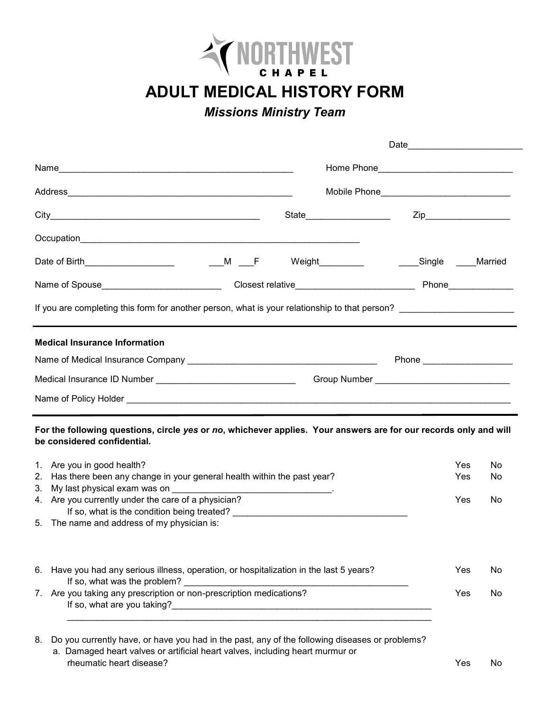

**ADULT MEDICAL HISTORY FORM**

*Missions Ministry Team*

|                                                                                                                                                                                                                                                                                                                                                                           |                            | Mobile Phone__________________________________ |                |  |
|---------------------------------------------------------------------------------------------------------------------------------------------------------------------------------------------------------------------------------------------------------------------------------------------------------------------------------------------------------------------------|----------------------------|------------------------------------------------|----------------|--|
|                                                                                                                                                                                                                                                                                                                                                                           | State_____________________ |                                                |                |  |
|                                                                                                                                                                                                                                                                                                                                                                           |                            |                                                |                |  |
|                                                                                                                                                                                                                                                                                                                                                                           |                            | Weight Married Married                         |                |  |
|                                                                                                                                                                                                                                                                                                                                                                           |                            |                                                |                |  |
| If you are completing this form for another person, what is your relationship to that person? ________________________                                                                                                                                                                                                                                                    |                            |                                                |                |  |
| <b>Medical Insurance Information</b>                                                                                                                                                                                                                                                                                                                                      |                            |                                                |                |  |
|                                                                                                                                                                                                                                                                                                                                                                           |                            | Phone ________________________                 |                |  |
|                                                                                                                                                                                                                                                                                                                                                                           |                            |                                                |                |  |
|                                                                                                                                                                                                                                                                                                                                                                           |                            |                                                |                |  |
| For the following questions, circle yes or no, whichever applies. Your answers are for our records only and will<br>be considered confidential.<br>1. Are you in good health?<br>Has there been any change in your general health within the past year?<br>2.<br>3.<br>4. Are you currently under the care of a physician?<br>5. The name and address of my physician is: |                            | Yes<br><b>Yes</b><br><b>Yes</b>                | No<br>No<br>No |  |

| 6. Have you had any serious illness, operation, or hospitalization in the last 5 years? | Yes | No. |
|-----------------------------------------------------------------------------------------|-----|-----|
| If so, what was the problem?                                                            |     |     |
| Are you taking any prescription or non-prescription medications?                        | Yes | No. |
| If so, what are you taking?                                                             |     |     |

8. Do you currently have, or have you had in the past, any of the following diseases or problems? a. Damaged heart valves or artificial heart valves, including heart murmur or rheumatic heart disease? The Contract of the Contract of the Contract of the Contract of the Contract of the Contract of the Contract of the Contract of the Contract of the Contract of the Contract of the Contract of the C